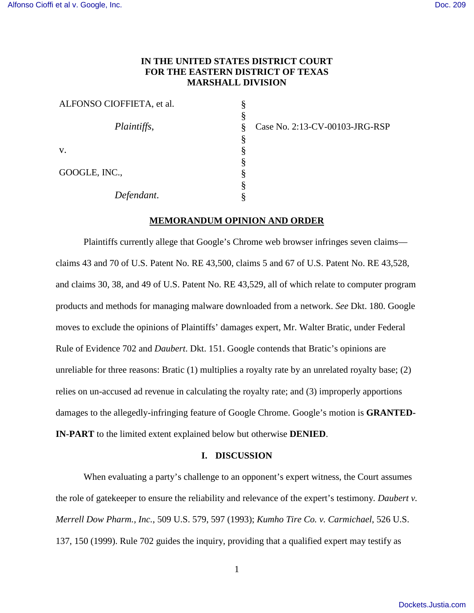# **IN THE UNITED STATES DISTRICT COURT FOR THE EASTERN DISTRICT OF TEXAS MARSHALL DIVISION**

| ALFONSO CIOFFIETA, et al. |   |
|---------------------------|---|
|                           | 8 |
| Plaintiffs,               | 8 |
|                           | 8 |
| V.                        |   |
|                           | 8 |
| GOOGLE, INC.,             | 8 |
|                           |   |
| Defendant.                |   |

Case No. 2:13-CV-00103-JRG-RSP

#### **MEMORANDUM OPINION AND ORDER**

Plaintiffs currently allege that Google's Chrome web browser infringes seven claims claims 43 and 70 of U.S. Patent No. RE 43,500, claims 5 and 67 of U.S. Patent No. RE 43,528, and claims 30, 38, and 49 of U.S. Patent No. RE 43,529, all of which relate to computer program products and methods for managing malware downloaded from a network. *See* Dkt. 180. Google moves to exclude the opinions of Plaintiffs' damages expert, Mr. Walter Bratic, under Federal Rule of Evidence 702 and *Daubert*. Dkt. 151. Google contends that Bratic's opinions are unreliable for three reasons: Bratic (1) multiplies a royalty rate by an unrelated royalty base; (2) relies on un-accused ad revenue in calculating the royalty rate; and (3) improperly apportions damages to the allegedly-infringing feature of Google Chrome. Google's motion is **GRANTED-IN-PART** to the limited extent explained below but otherwise **DENIED**.

## **I. DISCUSSION**

When evaluating a party's challenge to an opponent's expert witness, the Court assumes the role of gatekeeper to ensure the reliability and relevance of the expert's testimony. *Daubert v. Merrell Dow Pharm., Inc.*, 509 U.S. 579, 597 (1993); *Kumho Tire Co. v. Carmichael*, 526 U.S. 137, 150 (1999). Rule 702 guides the inquiry, providing that a qualified expert may testify as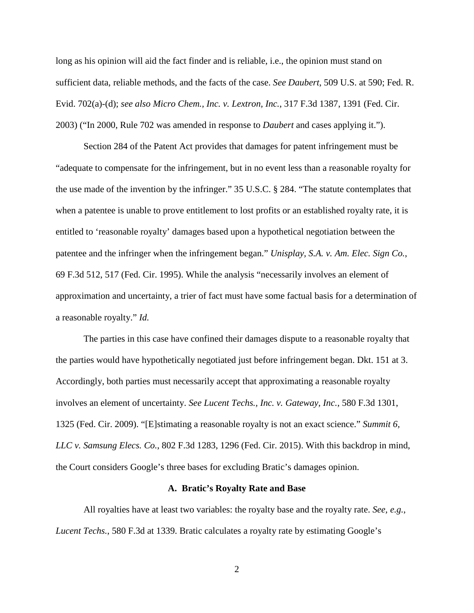long as his opinion will aid the fact finder and is reliable, i.e., the opinion must stand on sufficient data, reliable methods, and the facts of the case. *See Daubert*, 509 U.S. at 590; Fed. R. Evid. 702(a)-(d); *see also Micro Chem., Inc. v. Lextron, Inc.*, 317 F.3d 1387, 1391 (Fed. Cir. 2003) ("In 2000, Rule 702 was amended in response to *Daubert* and cases applying it.").

Section 284 of the Patent Act provides that damages for patent infringement must be "adequate to compensate for the infringement, but in no event less than a reasonable royalty for the use made of the invention by the infringer." 35 U.S.C. § 284. "The statute contemplates that when a patentee is unable to prove entitlement to lost profits or an established royalty rate, it is entitled to 'reasonable royalty' damages based upon a hypothetical negotiation between the patentee and the infringer when the infringement began." *Unisplay, S.A. v. Am. Elec. Sign Co.*, 69 F.3d 512, 517 (Fed. Cir. 1995). While the analysis "necessarily involves an element of approximation and uncertainty, a trier of fact must have some factual basis for a determination of a reasonable royalty." *Id.*

The parties in this case have confined their damages dispute to a reasonable royalty that the parties would have hypothetically negotiated just before infringement began. Dkt. 151 at 3. Accordingly, both parties must necessarily accept that approximating a reasonable royalty involves an element of uncertainty. *See Lucent Techs., Inc. v. Gateway, Inc.*, 580 F.3d 1301, 1325 (Fed. Cir. 2009). "[E]stimating a reasonable royalty is not an exact science." *Summit 6, LLC v. Samsung Elecs. Co.*, 802 F.3d 1283, 1296 (Fed. Cir. 2015). With this backdrop in mind, the Court considers Google's three bases for excluding Bratic's damages opinion.

#### **A. Bratic's Royalty Rate and Base**

All royalties have at least two variables: the royalty base and the royalty rate. *See, e.g.*, *Lucent Techs.*, 580 F.3d at 1339. Bratic calculates a royalty rate by estimating Google's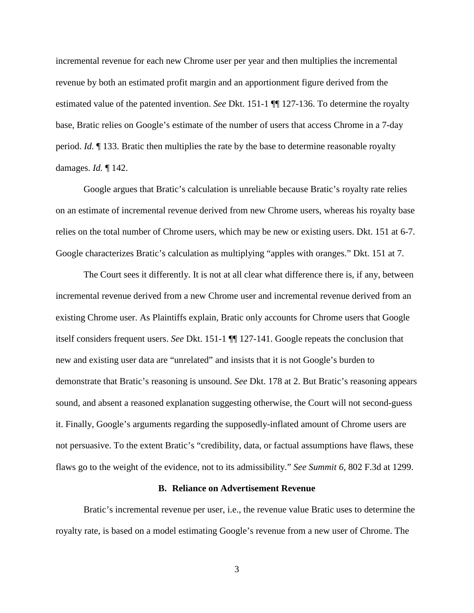incremental revenue for each new Chrome user per year and then multiplies the incremental revenue by both an estimated profit margin and an apportionment figure derived from the estimated value of the patented invention. *See* Dkt. 151-1 ¶¶ 127-136. To determine the royalty base, Bratic relies on Google's estimate of the number of users that access Chrome in a 7-day period. *Id.* ¶ 133. Bratic then multiplies the rate by the base to determine reasonable royalty damages. *Id.* ¶ 142.

Google argues that Bratic's calculation is unreliable because Bratic's royalty rate relies on an estimate of incremental revenue derived from new Chrome users, whereas his royalty base relies on the total number of Chrome users, which may be new or existing users. Dkt. 151 at 6-7. Google characterizes Bratic's calculation as multiplying "apples with oranges." Dkt. 151 at 7.

The Court sees it differently. It is not at all clear what difference there is, if any, between incremental revenue derived from a new Chrome user and incremental revenue derived from an existing Chrome user. As Plaintiffs explain, Bratic only accounts for Chrome users that Google itself considers frequent users. *See* Dkt. 151-1 ¶¶ 127-141. Google repeats the conclusion that new and existing user data are "unrelated" and insists that it is not Google's burden to demonstrate that Bratic's reasoning is unsound. *See* Dkt. 178 at 2. But Bratic's reasoning appears sound, and absent a reasoned explanation suggesting otherwise, the Court will not second-guess it. Finally, Google's arguments regarding the supposedly-inflated amount of Chrome users are not persuasive. To the extent Bratic's "credibility, data, or factual assumptions have flaws, these flaws go to the weight of the evidence, not to its admissibility." *See Summit 6*, 802 F.3d at 1299.

#### **B. Reliance on Advertisement Revenue**

Bratic's incremental revenue per user, i.e., the revenue value Bratic uses to determine the royalty rate, is based on a model estimating Google's revenue from a new user of Chrome. The

3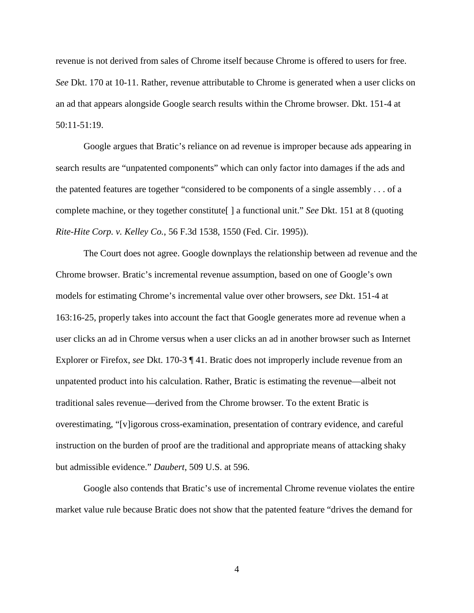revenue is not derived from sales of Chrome itself because Chrome is offered to users for free. *See* Dkt. 170 at 10-11. Rather, revenue attributable to Chrome is generated when a user clicks on an ad that appears alongside Google search results within the Chrome browser. Dkt. 151-4 at 50:11-51:19.

Google argues that Bratic's reliance on ad revenue is improper because ads appearing in search results are "unpatented components" which can only factor into damages if the ads and the patented features are together "considered to be components of a single assembly . . . of a complete machine, or they together constitute[ ] a functional unit." *See* Dkt. 151 at 8 (quoting *Rite-Hite Corp. v. Kelley Co.*, 56 F.3d 1538, 1550 (Fed. Cir. 1995)).

The Court does not agree. Google downplays the relationship between ad revenue and the Chrome browser. Bratic's incremental revenue assumption, based on one of Google's own models for estimating Chrome's incremental value over other browsers, *see* Dkt. 151-4 at 163:16-25, properly takes into account the fact that Google generates more ad revenue when a user clicks an ad in Chrome versus when a user clicks an ad in another browser such as Internet Explorer or Firefox, *see* Dkt. 170-3 ¶ 41. Bratic does not improperly include revenue from an unpatented product into his calculation. Rather, Bratic is estimating the revenue—albeit not traditional sales revenue—derived from the Chrome browser. To the extent Bratic is overestimating, "[v]igorous cross-examination, presentation of contrary evidence, and careful instruction on the burden of proof are the traditional and appropriate means of attacking shaky but admissible evidence." *Daubert*, 509 U.S. at 596.

Google also contends that Bratic's use of incremental Chrome revenue violates the entire market value rule because Bratic does not show that the patented feature "drives the demand for

4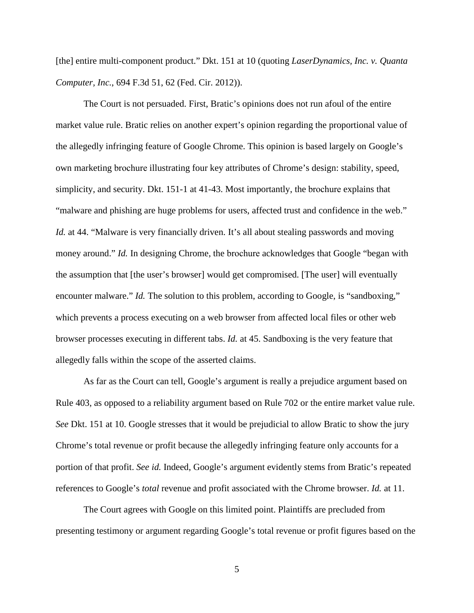[the] entire multi-component product." Dkt. 151 at 10 (quoting *LaserDynamics, Inc. v. Quanta Computer, Inc.*, 694 F.3d 51, 62 (Fed. Cir. 2012)).

The Court is not persuaded. First, Bratic's opinions does not run afoul of the entire market value rule. Bratic relies on another expert's opinion regarding the proportional value of the allegedly infringing feature of Google Chrome. This opinion is based largely on Google's own marketing brochure illustrating four key attributes of Chrome's design: stability, speed, simplicity, and security. Dkt. 151-1 at 41-43. Most importantly, the brochure explains that "malware and phishing are huge problems for users, affected trust and confidence in the web." *Id.* at 44. "Malware is very financially driven. It's all about stealing passwords and moving money around." *Id.* In designing Chrome, the brochure acknowledges that Google "began with the assumption that [the user's browser] would get compromised. [The user] will eventually encounter malware." *Id.* The solution to this problem, according to Google, is "sandboxing," which prevents a process executing on a web browser from affected local files or other web browser processes executing in different tabs. *Id.* at 45. Sandboxing is the very feature that allegedly falls within the scope of the asserted claims.

As far as the Court can tell, Google's argument is really a prejudice argument based on Rule 403, as opposed to a reliability argument based on Rule 702 or the entire market value rule. *See* Dkt. 151 at 10. Google stresses that it would be prejudicial to allow Bratic to show the jury Chrome's total revenue or profit because the allegedly infringing feature only accounts for a portion of that profit. *See id.* Indeed, Google's argument evidently stems from Bratic's repeated references to Google's *total* revenue and profit associated with the Chrome browser. *Id.* at 11.

The Court agrees with Google on this limited point. Plaintiffs are precluded from presenting testimony or argument regarding Google's total revenue or profit figures based on the

5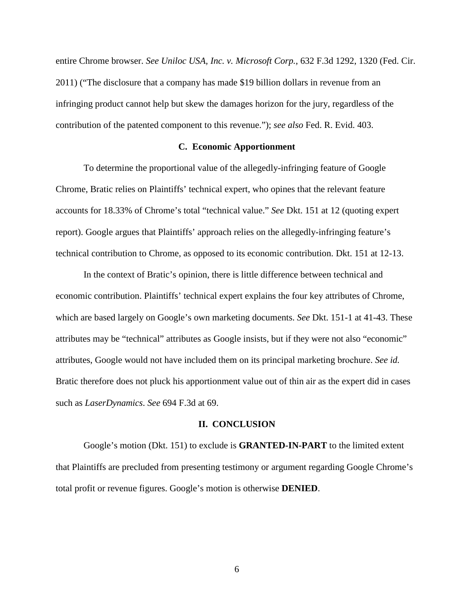entire Chrome browser. *See Uniloc USA, Inc. v. Microsoft Corp.*, 632 F.3d 1292, 1320 (Fed. Cir. 2011) ("The disclosure that a company has made \$19 billion dollars in revenue from an infringing product cannot help but skew the damages horizon for the jury, regardless of the contribution of the patented component to this revenue."); *see also* Fed. R. Evid. 403.

# **C. Economic Apportionment**

To determine the proportional value of the allegedly-infringing feature of Google Chrome, Bratic relies on Plaintiffs' technical expert, who opines that the relevant feature accounts for 18.33% of Chrome's total "technical value." *See* Dkt. 151 at 12 (quoting expert report). Google argues that Plaintiffs' approach relies on the allegedly-infringing feature's technical contribution to Chrome, as opposed to its economic contribution. Dkt. 151 at 12-13.

In the context of Bratic's opinion, there is little difference between technical and economic contribution. Plaintiffs' technical expert explains the four key attributes of Chrome, which are based largely on Google's own marketing documents. *See* Dkt. 151-1 at 41-43. These attributes may be "technical" attributes as Google insists, but if they were not also "economic" attributes, Google would not have included them on its principal marketing brochure. *See id.* Bratic therefore does not pluck his apportionment value out of thin air as the expert did in cases such as *LaserDynamics*. *See* 694 F.3d at 69.

## **II. CONCLUSION**

Google's motion (Dkt. 151) to exclude is **GRANTED-IN-PART** to the limited extent that Plaintiffs are precluded from presenting testimony or argument regarding Google Chrome's total profit or revenue figures. Google's motion is otherwise **DENIED**.